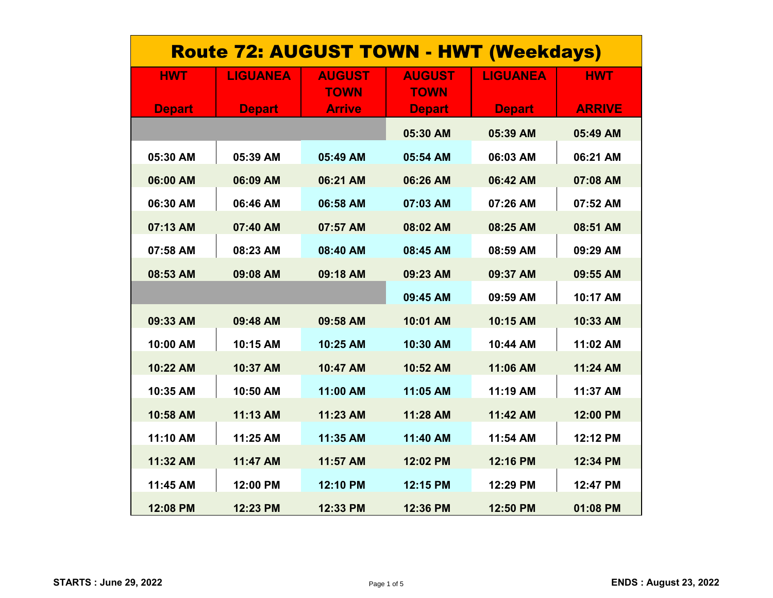| <b>Route 72: AUGUST TOWN - HWT (Weekdays)</b> |                 |                              |                              |                 |               |  |
|-----------------------------------------------|-----------------|------------------------------|------------------------------|-----------------|---------------|--|
| <b>HWT</b>                                    | <b>LIGUANEA</b> | <b>AUGUST</b><br><b>TOWN</b> | <b>AUGUST</b><br><b>TOWN</b> | <b>LIGUANEA</b> | <b>HWT</b>    |  |
| <b>Depart</b>                                 | <b>Depart</b>   | <b>Arrive</b>                | <b>Depart</b>                | <b>Depart</b>   | <b>ARRIVE</b> |  |
|                                               |                 |                              | 05:30 AM                     | 05:39 AM        | 05:49 AM      |  |
| 05:30 AM                                      | 05:39 AM        | 05:49 AM                     | 05:54 AM                     | 06:03 AM        | 06:21 AM      |  |
| 06:00 AM                                      | 06:09 AM        | 06:21 AM                     | 06:26 AM                     | 06:42 AM        | 07:08 AM      |  |
| 06:30 AM                                      | 06:46 AM        | 06:58 AM                     | 07:03 AM                     | 07:26 AM        | 07:52 AM      |  |
| 07:13 AM                                      | 07:40 AM        | 07:57 AM                     | 08:02 AM                     | 08:25 AM        | 08:51 AM      |  |
| 07:58 AM                                      | 08:23 AM        | 08:40 AM                     | 08:45 AM                     | 08:59 AM        | 09:29 AM      |  |
| 08:53 AM                                      | 09:08 AM        | 09:18 AM                     | 09:23 AM                     | 09:37 AM        | 09:55 AM      |  |
|                                               |                 |                              | 09:45 AM                     | 09:59 AM        | 10:17 AM      |  |
| 09:33 AM                                      | 09:48 AM        | 09:58 AM                     | 10:01 AM                     | 10:15 AM        | 10:33 AM      |  |
| 10:00 AM                                      | 10:15 AM        | 10:25 AM                     | 10:30 AM                     | 10:44 AM        | 11:02 AM      |  |
| 10:22 AM                                      | 10:37 AM        | 10:47 AM                     | 10:52 AM                     | 11:06 AM        | 11:24 AM      |  |
| 10:35 AM                                      | 10:50 AM        | 11:00 AM                     | 11:05 AM                     | 11:19 AM        | 11:37 AM      |  |
| 10:58 AM                                      | 11:13 AM        | 11:23 AM                     | 11:28 AM                     | 11:42 AM        | 12:00 PM      |  |
| 11:10 AM                                      | 11:25 AM        | 11:35 AM                     | 11:40 AM                     | 11:54 AM        | 12:12 PM      |  |
| 11:32 AM                                      | 11:47 AM        | 11:57 AM                     | 12:02 PM                     | 12:16 PM        | 12:34 PM      |  |
| 11:45 AM                                      | 12:00 PM        | 12:10 PM                     | 12:15 PM                     | 12:29 PM        | 12:47 PM      |  |
| 12:08 PM                                      | 12:23 PM        | 12:33 PM                     | 12:36 PM                     | 12:50 PM        | 01:08 PM      |  |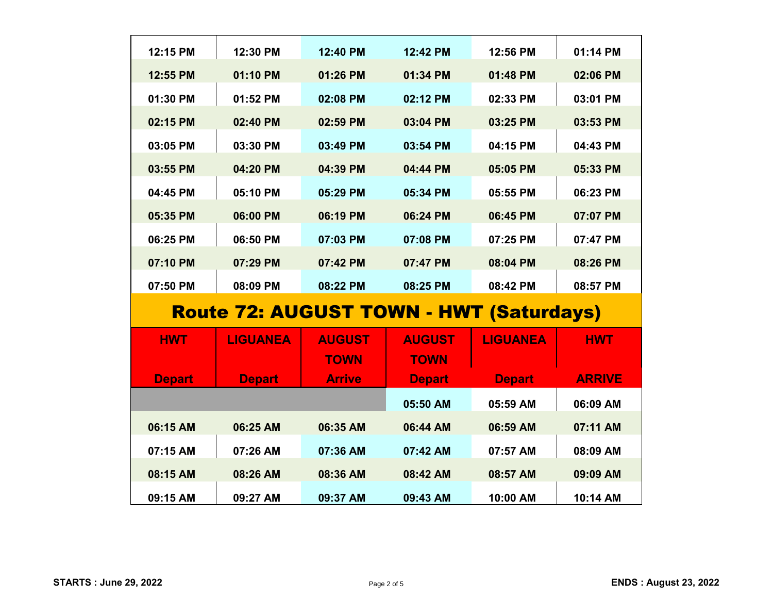| 12:15 PM                                       | 12:30 PM        | 12:40 PM      | 12:42 PM      | 12:56 PM        | 01:14 PM      |  |
|------------------------------------------------|-----------------|---------------|---------------|-----------------|---------------|--|
| 12:55 PM                                       | 01:10 PM        | 01:26 PM      | 01:34 PM      | 01:48 PM        | 02:06 PM      |  |
| 01:30 PM                                       | 01:52 PM        | 02:08 PM      | 02:12 PM      | 02:33 PM        | 03:01 PM      |  |
| 02:15 PM                                       | 02:40 PM        | 02:59 PM      | 03:04 PM      | 03:25 PM        | 03:53 PM      |  |
| 03:05 PM                                       | 03:30 PM        | 03:49 PM      | 03:54 PM      | 04:15 PM        | 04:43 PM      |  |
| 03:55 PM                                       | 04:20 PM        | 04:39 PM      | 04:44 PM      | 05:05 PM        | 05:33 PM      |  |
| 04:45 PM                                       | 05:10 PM        | 05:29 PM      | 05:34 PM      | 05:55 PM        | 06:23 PM      |  |
| 05:35 PM                                       | 06:00 PM        | 06:19 PM      | 06:24 PM      | 06:45 PM        | 07:07 PM      |  |
| 06:25 PM                                       | 06:50 PM        | 07:03 PM      | 07:08 PM      | 07:25 PM        | 07:47 PM      |  |
| 07:10 PM                                       | 07:29 PM        | 07:42 PM      | 07:47 PM      | 08:04 PM        | 08:26 PM      |  |
| 07:50 PM                                       | 08:09 PM        | 08:22 PM      | 08:25 PM      | 08:42 PM        | 08:57 PM      |  |
|                                                |                 |               |               |                 |               |  |
| <b>Route 72: AUGUST TOWN - HWT (Saturdays)</b> |                 |               |               |                 |               |  |
| <b>HWT</b>                                     | <b>LIGUANEA</b> | <b>AUGUST</b> | <b>AUGUST</b> | <b>LIGUANEA</b> | <b>HWT</b>    |  |
|                                                |                 | <b>TOWN</b>   | <b>TOWN</b>   |                 |               |  |
| <b>Depart</b>                                  | <b>Depart</b>   | <b>Arrive</b> | <b>Depart</b> | <b>Depart</b>   | <b>ARRIVE</b> |  |
|                                                |                 |               | 05:50 AM      | 05:59 AM        | 06:09 AM      |  |
| 06:15 AM                                       | 06:25 AM        | 06:35 AM      | 06:44 AM      | 06:59 AM        | 07:11 AM      |  |
| 07:15 AM                                       | 07:26 AM        | 07:36 AM      | 07:42 AM      | 07:57 AM        | 08:09 AM      |  |
| 08:15 AM                                       | 08:26 AM        | 08:36 AM      | 08:42 AM      | 08:57 AM        | 09:09 AM      |  |
| 09:15 AM                                       | 09:27 AM        | 09:37 AM      | 09:43 AM      | 10:00 AM        | 10:14 AM      |  |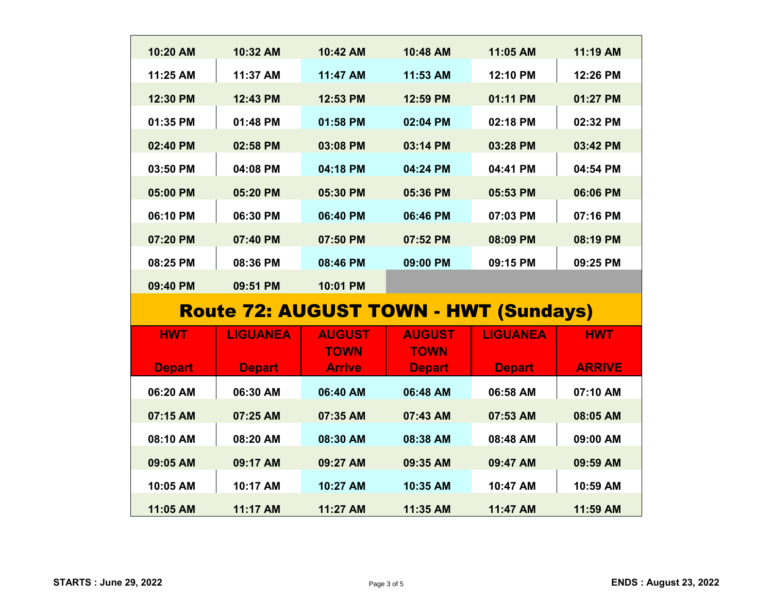| 10:20 AM      | 10:32 AM                                     | 10:42 AM                     | 10:48 AM                     | 11:05 AM        | 11:19 AM      |
|---------------|----------------------------------------------|------------------------------|------------------------------|-----------------|---------------|
| 11:25 AM      | 11:37 AM                                     | 11:47 AM                     | 11:53 AM                     | 12:10 PM        | 12:26 PM      |
| 12:30 PM      | 12:43 PM                                     | 12:53 PM                     | 12:59 PM                     | 01:11 PM        | 01:27 PM      |
| 01:35 PM      | 01:48 PM                                     | 01:58 PM                     | 02:04 PM                     | 02:18 PM        | 02:32 PM      |
| 02:40 PM      | 02:58 PM                                     | 03:08 PM                     | 03:14 PM                     | 03:28 PM        | 03:42 PM      |
| 03:50 PM      | 04:08 PM                                     | 04:18 PM                     | 04:24 PM                     | 04:41 PM        | 04:54 PM      |
| 05:00 PM      | 05:20 PM                                     | 05:30 PM                     | 05:36 PM                     | 05:53 PM        | 06:06 PM      |
| 06:10 PM      | 06:30 PM                                     | 06:40 PM                     | 06:46 PM                     | 07:03 PM        | 07:16 PM      |
| 07:20 PM      | 07:40 PM                                     | 07:50 PM                     | 07:52 PM                     | 08:09 PM        | 08:19 PM      |
| 08:25 PM      | 08:36 PM                                     | 08:46 PM                     | 09:00 PM                     | 09:15 PM        | 09:25 PM      |
| 09:40 PM      | 09:51 PM                                     | 10:01 PM                     |                              |                 |               |
|               | <b>Route 72: AUGUST TOWN - HWT (Sundays)</b> |                              |                              |                 |               |
|               |                                              |                              |                              |                 |               |
| <b>HWT</b>    | <b>LIGUANEA</b>                              | <b>AUGUST</b>                | <b>AUGUST</b>                | <b>LIGUANEA</b> | <b>HWT</b>    |
| <b>Depart</b> | <b>Depart</b>                                | <b>TOWN</b><br><b>Arrive</b> | <b>TOWN</b><br><b>Depart</b> | <b>Depart</b>   | <b>ARRIVE</b> |
| 06:20 AM      | 06:30 AM                                     | 06:40 AM                     | 06:48 AM                     | 06:58 AM        | 07:10 AM      |
| 07:15 AM      | 07:25 AM                                     | 07:35 AM                     | 07:43 AM                     | 07:53 AM        | 08:05 AM      |
| 08:10 AM      | 08:20 AM                                     | 08:30 AM                     | 08:38 AM                     | 08:48 AM        | 09:00 AM      |
| 09:05 AM      | 09:17 AM                                     | 09:27 AM                     | 09:35 AM                     | 09:47 AM        | 09:59 AM      |
| 10:05 AM      | 10:17 AM                                     | 10:27 AM                     | 10:35 AM                     | 10:47 AM        | 10:59 AM      |
|               |                                              |                              |                              |                 |               |
| 11:05 AM      | 11:17 AM                                     | 11:27 AM                     | 11:35 AM                     | 11:47 AM        | 11:59 AM      |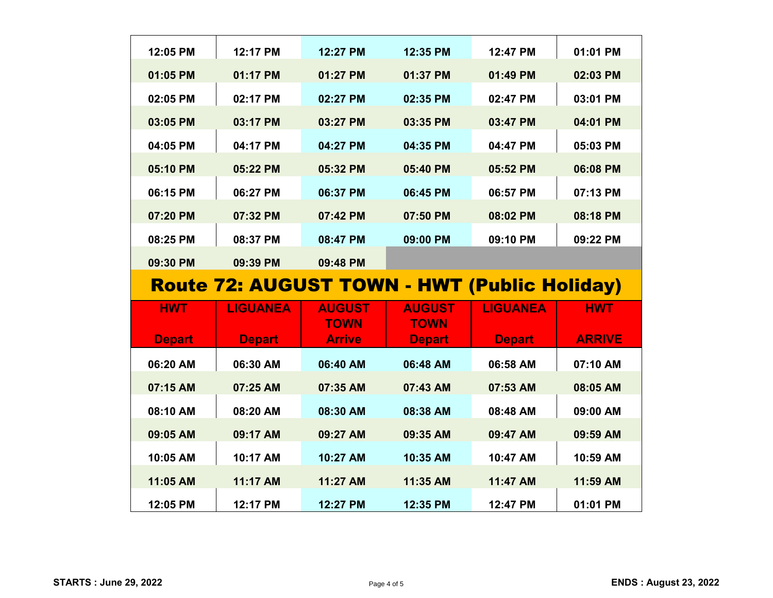| 12:05 PM      | 12:17 PM                                            | 12:27 PM      | 12:35 PM      | 12:47 PM        | 01:01 PM      |
|---------------|-----------------------------------------------------|---------------|---------------|-----------------|---------------|
| 01:05 PM      | 01:17 PM                                            | 01:27 PM      | 01:37 PM      | 01:49 PM        | 02:03 PM      |
| 02:05 PM      | 02:17 PM                                            | 02:27 PM      | 02:35 PM      | 02:47 PM        | 03:01 PM      |
| 03:05 PM      | 03:17 PM                                            | 03:27 PM      | 03:35 PM      | 03:47 PM        | 04:01 PM      |
| 04:05 PM      | 04:17 PM                                            | 04:27 PM      | 04:35 PM      | 04:47 PM        | 05:03 PM      |
| 05:10 PM      | 05:22 PM                                            | 05:32 PM      | 05:40 PM      | 05:52 PM        | 06:08 PM      |
| 06:15 PM      | 06:27 PM                                            | 06:37 PM      | 06:45 PM      | 06:57 PM        | 07:13 PM      |
| 07:20 PM      | 07:32 PM                                            | 07:42 PM      | 07:50 PM      | 08:02 PM        | 08:18 PM      |
| 08:25 PM      | 08:37 PM                                            | 08:47 PM      | 09:00 PM      | 09:10 PM        | 09:22 PM      |
| 09:30 PM      | 09:39 PM                                            | 09:48 PM      |               |                 |               |
|               |                                                     |               |               |                 |               |
|               |                                                     |               |               |                 |               |
|               | <b>Route 72: AUGUST TOWN - HWT (Public Holiday)</b> |               |               |                 |               |
| <b>HWT</b>    | <b>LIGUANEA</b>                                     | <b>AUGUST</b> | <b>AUGUST</b> | <b>LIGUANEA</b> | <b>HWT</b>    |
|               |                                                     | <b>TOWN</b>   | <b>TOWN</b>   |                 |               |
| <b>Depart</b> | <b>Depart</b>                                       | <b>Arrive</b> | <b>Depart</b> | <b>Depart</b>   | <b>ARRIVE</b> |
| 06:20 AM      | 06:30 AM                                            | 06:40 AM      | 06:48 AM      | 06:58 AM        | 07:10 AM      |
| 07:15 AM      | 07:25 AM                                            | 07:35 AM      | 07:43 AM      | 07:53 AM        | 08:05 AM      |
| 08:10 AM      | 08:20 AM                                            | 08:30 AM      | 08:38 AM      | 08:48 AM        | 09:00 AM      |
| 09:05 AM      | 09:17 AM                                            | 09:27 AM      | 09:35 AM      | 09:47 AM        | 09:59 AM      |
| 10:05 AM      | 10:17 AM                                            | 10:27 AM      | 10:35 AM      | 10:47 AM        | 10:59 AM      |
| 11:05 AM      | 11:17 AM                                            | 11:27 AM      | 11:35 AM      | 11:47 AM        | 11:59 AM      |